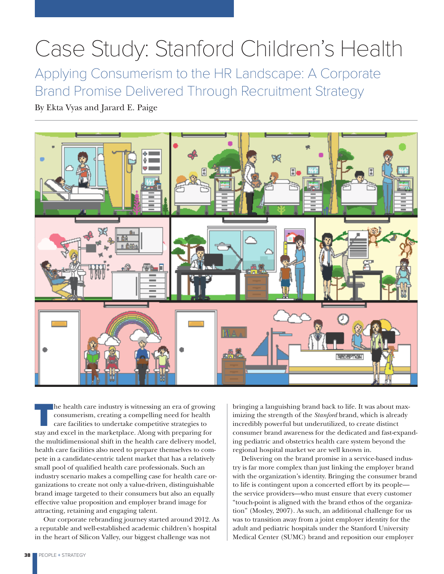# Case Study: Stanford Children's Health

Applying Consumerism to the HR Landscape: A Corporate Brand Promise Delivered Through Recruitment Strategy

By Ekta Vyas and Jarard E. Paige



The health care industry is witnessing an era of growing consumerism, creating a compelling need for health care facilities to undertake competitive strategies to stay and excel in the marketplace. Along with preparing for the multidimensional shift in the health care delivery model, health care facilities also need to prepare themselves to compete in a candidate-centric talent market that has a relatively small pool of qualified health care professionals. Such an industry scenario makes a compelling case for health care organizations to create not only a value-driven, distinguishable brand image targeted to their consumers but also an equally effective value proposition and employer brand image for attracting, retaining and engaging talent.

Our corporate rebranding journey started around 2012. As a reputable and well-established academic children's hospital in the heart of Silicon Valley, our biggest challenge was not

bringing a languishing brand back to life. It was about maximizing the strength of the *Stanford* brand, which is already incredibly powerful but underutilized, to create distinct consumer brand awareness for the dedicated and fast-expanding pediatric and obstetrics health care system beyond the regional hospital market we are well known in.

Delivering on the brand promise in a service-based industry is far more complex than just linking the employer brand with the organization's identity. Bringing the consumer brand to life is contingent upon a concerted effort by its people the service providers—who must ensure that every customer "touch-point is aligned with the brand ethos of the organization" (Mosley, 2007). As such, an additional challenge for us was to transition away from a joint employer identity for the adult and pediatric hospitals under the Stanford University Medical Center (SUMC) brand and reposition our employer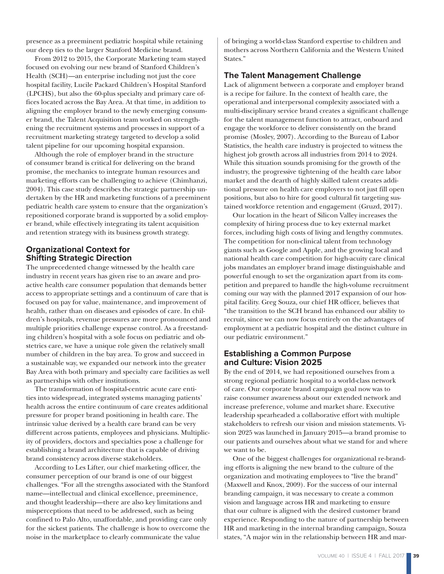presence as a preeminent pediatric hospital while retaining our deep ties to the larger Stanford Medicine brand.

From 2012 to 2015, the Corporate Marketing team stayed focused on evolving our new brand of Stanford Children's Health (SCH)—an enterprise including not just the core hospital facility, Lucile Packard Children's Hospital Stanford (LPCHS), but also the 60-plus specialty and primary care offices located across the Bay Area. At that time, in addition to aligning the employer brand to the newly emerging consumer brand, the Talent Acquisition team worked on strengthening the recruitment systems and processes in support of a recruitment marketing strategy targeted to develop a solid talent pipeline for our upcoming hospital expansion.

Although the role of employer brand in the structure of consumer brand is critical for delivering on the brand promise, the mechanics to integrate human resources and marketing efforts can be challenging to achieve (Chimhanzi, 2004). This case study describes the strategic partnership undertaken by the HR and marketing functions of a preeminent pediatric health care system to ensure that the organization's repositioned corporate brand is supported by a solid employer brand, while effectively integrating its talent acquisition and retention strategy with its business growth strategy.

## **Organizational Context for Shifting Strategic Direction**

The unprecedented change witnessed by the health care industry in recent years has given rise to an aware and proactive health care consumer population that demands better access to appropriate settings and a continuum of care that is focused on pay for value, maintenance, and improvement of health, rather than on diseases and episodes of care. In children's hospitals, revenue pressures are more pronounced and multiple priorities challenge expense control. As a freestanding children's hospital with a sole focus on pediatric and obstetrics care, we have a unique role given the relatively small number of children in the bay area. To grow and succeed in a sustainable way, we expanded our network into the greater Bay Area with both primary and specialty care facilities as well as partnerships with other institutions.

The transformation of hospital-centric acute care entities into widespread, integrated systems managing patients' health across the entire continuum of care creates additional pressure for proper brand positioning in health care. The intrinsic value derived by a health care brand can be very different across patients, employees and physicians. Multiplicity of providers, doctors and specialties pose a challenge for establishing a brand architecture that is capable of driving brand consistency across diverse stakeholders.

According to Les Lifter, our chief marketing officer, the consumer perception of our brand is one of our biggest challenges. "For all the strengths associated with the Stanford name—intellectual and clinical excellence, preeminence, and thought leadership—there are also key limitations and misperceptions that need to be addressed, such as being confined to Palo Alto, unaffordable, and providing care only for the sickest patients. The challenge is how to overcome the noise in the marketplace to clearly communicate the value

of bringing a world-class Stanford expertise to children and mothers across Northern California and the Western United States."

### **The Talent Management Challenge**

Lack of alignment between a corporate and employer brand is a recipe for failure. In the context of health care, the operational and interpersonal complexity associated with a multi-disciplinary service brand creates a significant challenge for the talent management function to attract, onboard and engage the workforce to deliver consistently on the brand promise (Mosley, 2007). According to the Bureau of Labor Statistics, the health care industry is projected to witness the highest job growth across all industries from 2014 to 2024. While this situation sounds promising for the growth of the industry, the progressive tightening of the health care labor market and the dearth of highly skilled talent creates additional pressure on health care employers to not just fill open positions, but also to hire for good cultural fit targeting sustained workforce retention and engagement (Gruzd, 2017).

Our location in the heart of Silicon Valley increases the complexity of hiring process due to key external market forces, including high costs of living and lengthy commutes. The competition for non-clinical talent from technology giants such as Google and Apple, and the growing local and national health care competition for high-acuity care clinical jobs mandates an employer brand image distinguishable and powerful enough to set the organization apart from its competition and prepared to handle the high-volume recruitment coming our way with the planned 2017 expansion of our hospital facility. Greg Souza, our chief HR officer, believes that "the transition to the SCH brand has enhanced our ability to recruit, since we can now focus entirely on the advantages of employment at a pediatric hospital and the distinct culture in our pediatric environment."

## **Establishing a Common Purpose and Culture: Vision 2025**

By the end of 2014, we had repositioned ourselves from a strong regional pediatric hospital to a world-class network of care. Our corporate brand campaign goal now was to raise consumer awareness about our extended network and increase preference, volume and market share. Executive leadership spearheaded a collaborative effort with multiple stakeholders to refresh our vision and mission statements. Vision 2025 was launched in January 2015—a brand promise to our patients and ourselves about what we stand for and where we want to be.

One of the biggest challenges for organizational re-branding efforts is aligning the new brand to the culture of the organization and motivating employees to "live the brand" (Maxwell and Knox, 2009). For the success of our internal branding campaign, it was necessary to create a common vision and language across HR and marketing to ensure that our culture is aligned with the desired customer brand experience. Responding to the nature of partnership between HR and marketing in the internal branding campaign, Souza states, "A major win in the relationship between HR and mar-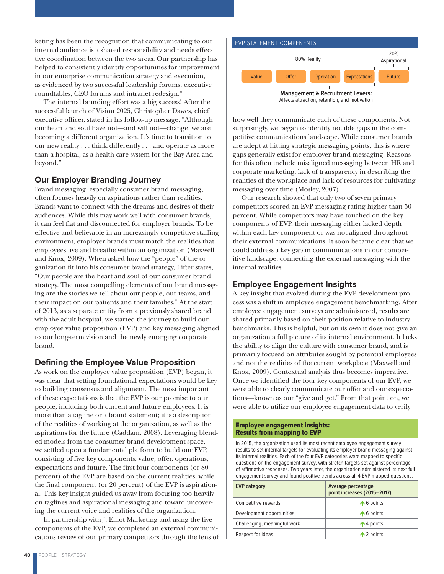keting has been the recognition that communicating to our internal audience is a shared responsibility and needs effective coordination between the two areas. Our partnership has helped to consistently identify opportunities for improvement in our enterprise communication strategy and execution, as evidenced by two successful leadership forums, executive roundtables, CEO forums and intranet redesign."

The internal branding effort was a big success! After the successful launch of Vision 2025, Christopher Dawes, chief executive officer, stated in his follow-up message, "Although our heart and soul have not—and will not—change, we are becoming a different organization. It's time to transition to our new reality . . . think differently . . . and operate as more than a hospital, as a health care system for the Bay Area and beyond."

#### **Our Employer Branding Journey**

Brand messaging, especially consumer brand messaging, often focuses heavily on aspirations rather than realities. Brands want to connect with the dreams and desires of their audiences. While this may work well with consumer brands, it can feel flat and disconnected for employer brands. To be effective and believable in an increasingly competitive staffing environment, employer brands must match the realities that employees live and breathe within an organization (Maxwell and Knox, 2009). When asked how the "people" of the organization fit into his consumer brand strategy, Lifter states, "Our people are the heart and soul of our consumer brand strategy. The most compelling elements of our brand messaging are the stories we tell about our people, our teams, and their impact on our patients and their families." At the start of 2013, as a separate entity from a previously shared brand with the adult hospital, we started the journey to build our employee value proposition (EVP) and key messaging aligned to our long-term vision and the newly emerging corporate brand.

# **Defining the Employee Value Proposition**

As work on the employee value proposition (EVP) began, it was clear that setting foundational expectations would be key to building consensus and alignment. The most important of these expectations is that the EVP is our promise to our people, including both current and future employees. It is more than a tagline or a brand statement; it is a description of the realities of working at the organization, as well as the aspirations for the future (Gaddam, 2008). Leveraging blended models from the consumer brand development space, we settled upon a fundamental platform to build our EVP, consisting of five key components: value, offer, operations, expectations and future. The first four components (or 80 percent) of the EVP are based on the current realities, while the final component (or 20 percent) of the EVP is aspirational. This key insight guided us away from focusing too heavily on taglines and aspirational messaging and toward uncovering the current voice and realities of the organization.

In partnership with J. Elliot Marketing and using the five components of the EVP, we completed an external communications review of our primary competitors through the lens of



how well they communicate each of these components. Not surprisingly, we began to identify notable gaps in the competitive communications landscape. While consumer brands are adept at hitting strategic messaging points, this is where gaps generally exist for employer brand messaging. Reasons for this often include misaligned messaging between HR and corporate marketing, lack of transparency in describing the realities of the workplace and lack of resources for cultivating messaging over time (Mosley, 2007).

Our research showed that only two of seven primary competitors scored an EVP messaging rating higher than 50 percent. While competitors may have touched on the key components of EVP, their messaging either lacked depth within each key component or was not aligned throughout their external communications. It soon became clear that we could address a key gap in communications in our competitive landscape: connecting the external messaging with the internal realities.

# **Employee Engagement Insights**

A key insight that evolved during the EVP development process was a shift in employee engagement benchmarking. After employee engagement surveys are administered, results are shared primarily based on their position relative to industry benchmarks. This is helpful, but on its own it does not give an organization a full picture of its internal environment. It lacks the ability to align the culture with consumer brand, and is primarily focused on attributes sought by potential employees and not the realities of the current workplace (Maxwell and Knox, 2009). Contextual analysis thus becomes imperative. Once we identified the four key components of our EVP, we were able to clearly communicate our offer and our expectations—known as our "give and get." From that point on, we were able to utilize our employee engagement data to verify

#### Employee engagement insights: Results from mapping to EVP

In 2015, the organization used its most recent employee engagement survey results to set internal targets for evaluating its employer brand messaging against its internal realities. Each of the four EVP categories were mapped to specific questions on the engagement survey, with stretch targets set against percentage of affirmative responses. Two years later, the organization administered its next full engagement survey and found positive trends across all 4 EVP-mapped questions.

| <b>EVP category</b>          | Average percentage<br>point increases (2015-2017) |
|------------------------------|---------------------------------------------------|
| Competitive rewards          | $\bigwedge$ 6 points                              |
| Development opportunities    | $\bigwedge$ 6 points                              |
| Challenging, meaningful work | $\bigwedge$ 4 points                              |
| Respect for ideas            | $\bigwedge$ 2 points                              |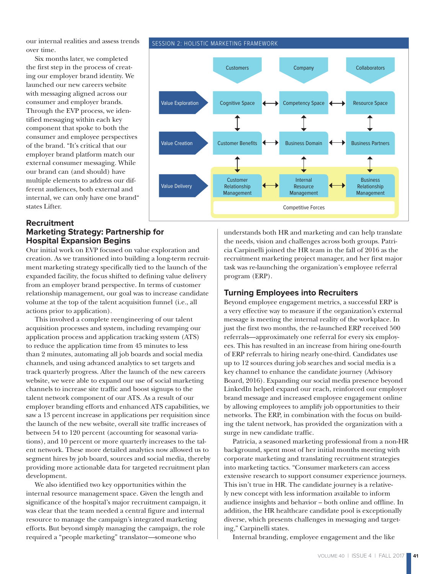our internal realities and assess trends over time.

Six months later, we completed the first step in the process of creating our employer brand identity. We launched our new careers website with messaging aligned across our consumer and employer brands. Through the EVP process, we identified messaging within each key component that spoke to both the consumer and employee perspectives of the brand. "It's critical that our employer brand platform match our external consumer messaging. While our brand can (and should) have multiple elements to address our different audiences, both external and internal, we can only have one brand" states Lifter.

#### **Recruitment Marketing Strategy: Partnership for Hospital Expansion Begins**

Our initial work on EVP focused on value exploration and creation. As we transitioned into building a long-term recruitment marketing strategy specifically tied to the launch of the expanded facility, the focus shifted to defining value delivery from an employer brand perspective. In terms of customer relationship management, our goal was to increase candidate volume at the top of the talent acquisition funnel (i.e., all actions prior to application).

This involved a complete reengineering of our talent acquisition processes and system, including revamping our application process and application tracking system (ATS) to reduce the application time from 45 minutes to less than 2 minutes, automating all job boards and social media channels, and using advanced analytics to set targets and track quarterly progress. After the launch of the new careers website, we were able to expand our use of social marketing channels to increase site traffic and boost signups to the talent network component of our ATS. As a result of our employer branding efforts and enhanced ATS capabilities, we saw a 13 percent increase in applications per requisition since the launch of the new website, overall site traffic increases of between 54 to 120 percent (accounting for seasonal variations), and 10 percent or more quarterly increases to the talent network. These more detailed analytics now allowed us to segment hires by job board, sources and social media, thereby providing more actionable data for targeted recruitment plan development.

We also identified two key opportunities within the internal resource management space. Given the length and significance of the hospital's major recruitment campaign, it was clear that the team needed a central figure and internal resource to manage the campaign's integrated marketing efforts. But beyond simply managing the campaign, the role required a "people marketing" translator—someone who

understands both HR and marketing and can help translate the needs, vision and challenges across both groups. Patricia Carpinelli joined the HR team in the fall of 2016 as the recruitment marketing project manager, and her first major task was re-launching the organization's employee referral program (ERP).

# **Turning Employees into Recruiters**

Beyond employee engagement metrics, a successful ERP is a very effective way to measure if the organization's external message is meeting the internal reality of the workplace. In just the first two months, the re-launched ERP received 500 referrals—approximately one referral for every six employees. This has resulted in an increase from hiring one-fourth of ERP referrals to hiring nearly one-third. Candidates use up to 12 sources during job searches and social media is a key channel to enhance the candidate journey (Advisory Board, 2016). Expanding our social media presence beyond LinkedIn helped expand our reach, reinforced our employer brand message and increased employee engagement online by allowing employees to amplify job opportunities to their networks. The ERP, in combination with the focus on building the talent network, has provided the organization with a surge in new candidate traffic.

Patricia, a seasoned marketing professional from a non-HR background, spent most of her initial months meeting with corporate marketing and translating recruitment strategies into marketing tactics. "Consumer marketers can access extensive research to support consumer experience journeys. This isn't true in HR. The candidate journey is a relatively new concept with less information available to inform audience insights and behavior – both online and offline. In addition, the HR healthcare candidate pool is exceptionally diverse, which presents challenges in messaging and targeting," Carpinelli states.

Internal branding, employee engagement and the like



#### SESSION 2: HOLISTIC MARKETING FRAMEWORK